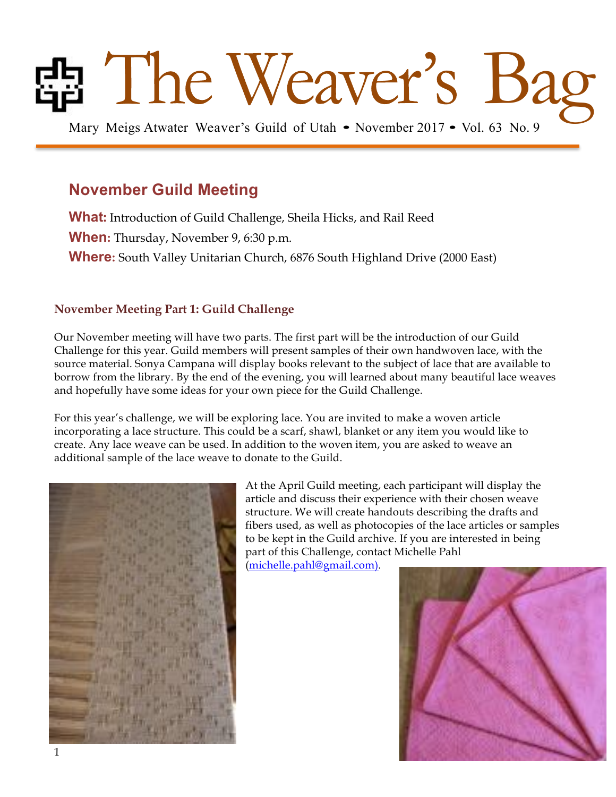# **Bag Meigs Atwater Weaver's Guild of Utah • November 2017 • Vol. 63 No. 9**

## **November Guild Meeting**

**What:** Introduction of Guild Challenge, Sheila Hicks, and Rail Reed

**When:** Thursday, November 9, 6:30 p.m.

**Where:** South Valley Unitarian Church, 6876 South Highland Drive (2000 East)

## **November Meeting Part 1: Guild Challenge**

Our November meeting will have two parts. The first part will be the introduction of our Guild Challenge for this year. Guild members will present samples of their own handwoven lace, with the source material. Sonya Campana will display books relevant to the subject of lace that are available to borrow from the library. By the end of the evening, you will learned about many beautiful lace weaves and hopefully have some ideas for your own piece for the Guild Challenge.

For this year's challenge, we will be exploring lace. You are invited to make a woven article incorporating a lace structure. This could be a scarf, shawl, blanket or any item you would like to create. Any lace weave can be used. In addition to the woven item, you are asked to weave an additional sample of the lace weave to donate to the Guild.



At the April Guild meeting, each participant will display the article and discuss their experience with their chosen weave structure. We will create handouts describing the drafts and fibers used, as well as photocopies of the lace articles or samples to be kept in the Guild archive. If you are interested in being part of this Challenge, contact Michelle Pahl

(michelle.pahl@gmail.com).

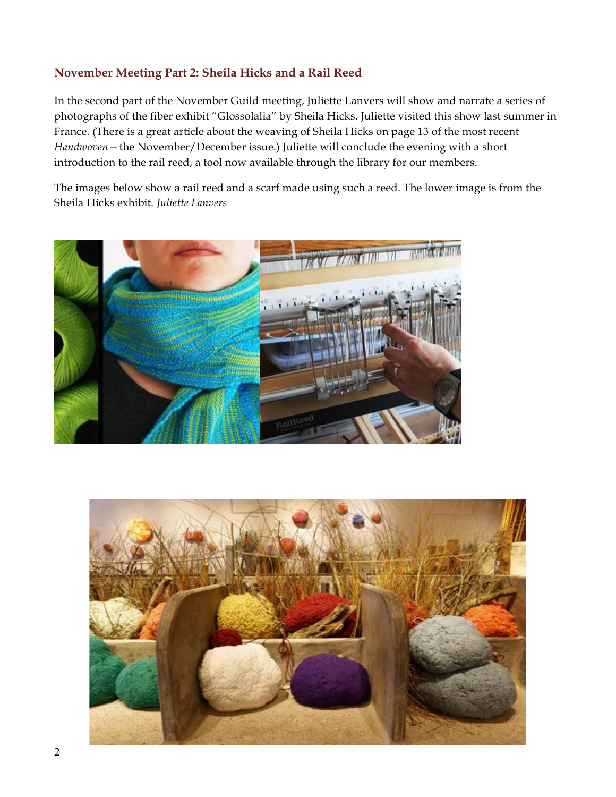### **November Meeting Part 2: Sheila Hicks and a Rail Reed**

In the second part of the November Guild meeting, Juliette Lanvers will show and narrate a series of photographs of the fiber exhibit "Glossolalia" by Sheila Hicks. Juliette visited this show last summer in France. (There is a great article about the weaving of Sheila Hicks on page 13 of the most recent *Handwoven*—the November/December issue.) Juliette will conclude the evening with a short introduction to the rail reed, a tool now available through the library for our members.

The images below show a rail reed and a scarf made using such a reed. The lower image is from the Sheila Hicks exhibit*. Juliette Lanvers*



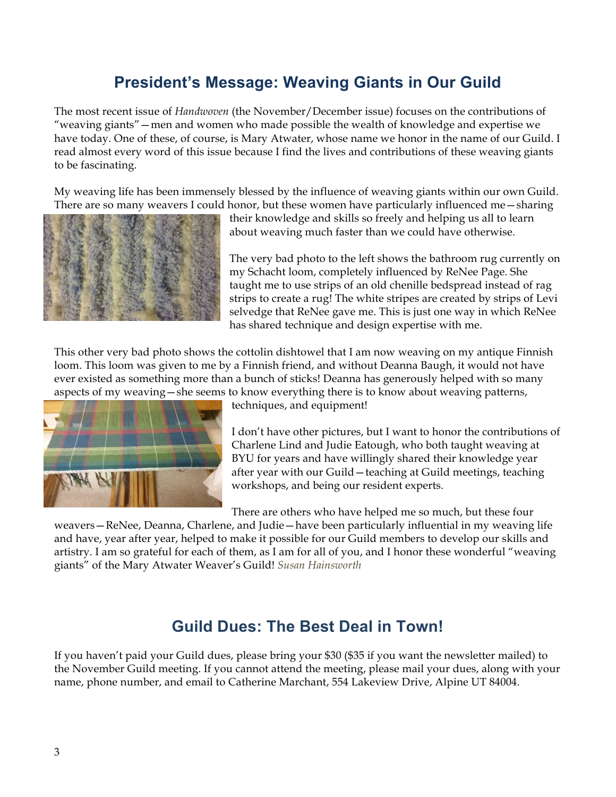## **President's Message: Weaving Giants in Our Guild**

The most recent issue of *Handwoven* (the November/December issue) focuses on the contributions of "weaving giants"—men and women who made possible the wealth of knowledge and expertise we have today. One of these, of course, is Mary Atwater, whose name we honor in the name of our Guild. I read almost every word of this issue because I find the lives and contributions of these weaving giants to be fascinating.

My weaving life has been immensely blessed by the influence of weaving giants within our own Guild. There are so many weavers I could honor, but these women have particularly influenced me—sharing



their knowledge and skills so freely and helping us all to learn about weaving much faster than we could have otherwise.

The very bad photo to the left shows the bathroom rug currently on my Schacht loom, completely influenced by ReNee Page. She taught me to use strips of an old chenille bedspread instead of rag strips to create a rug! The white stripes are created by strips of Levi selvedge that ReNee gave me. This is just one way in which ReNee has shared technique and design expertise with me.

This other very bad photo shows the cottolin dishtowel that I am now weaving on my antique Finnish loom. This loom was given to me by a Finnish friend, and without Deanna Baugh, it would not have ever existed as something more than a bunch of sticks! Deanna has generously helped with so many aspects of my weaving—she seems to know everything there is to know about weaving patterns,



techniques, and equipment!

I don't have other pictures, but I want to honor the contributions of Charlene Lind and Judie Eatough, who both taught weaving at BYU for years and have willingly shared their knowledge year after year with our Guild—teaching at Guild meetings, teaching workshops, and being our resident experts.

There are others who have helped me so much, but these four

weavers—ReNee, Deanna, Charlene, and Judie—have been particularly influential in my weaving life and have, year after year, helped to make it possible for our Guild members to develop our skills and artistry. I am so grateful for each of them, as I am for all of you, and I honor these wonderful "weaving giants" of the Mary Atwater Weaver's Guild! *Susan Hainsworth*

## **Guild Dues: The Best Deal in Town!**

If you haven't paid your Guild dues, please bring your \$30 (\$35 if you want the newsletter mailed) to the November Guild meeting. If you cannot attend the meeting, please mail your dues, along with your name, phone number, and email to Catherine Marchant, 554 Lakeview Drive, Alpine UT 84004.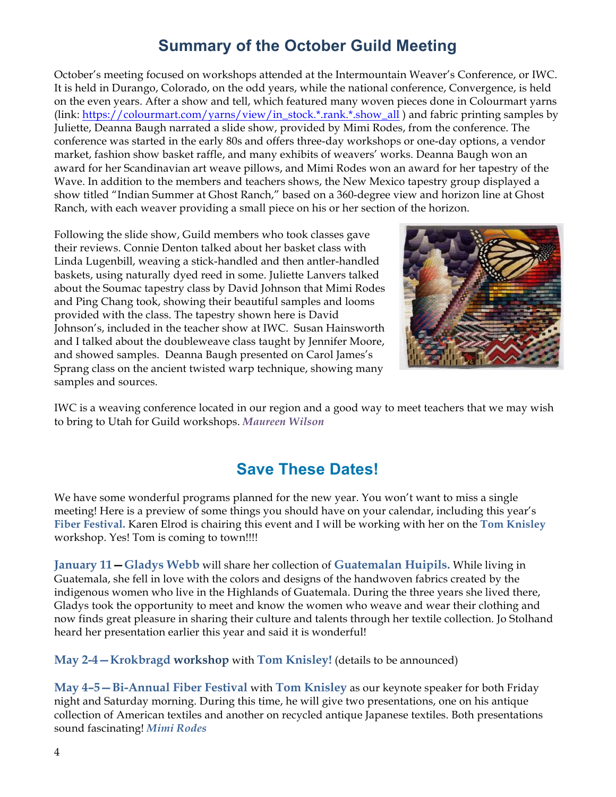## **Summary of the October Guild Meeting**

October's meeting focused on workshops attended at the Intermountain Weaver's Conference, or IWC. It is held in Durango, Colorado, on the odd years, while the national conference, Convergence, is held on the even years. After a show and tell, which featured many woven pieces done in Colourmart yarns (link: https://colourmart.com/yarns/view/in\_stock.\*.rank.\*.show\_all ) and fabric printing samples by Juliette, Deanna Baugh narrated a slide show, provided by Mimi Rodes, from the conference. The conference was started in the early 80s and offers three-day workshops or one-day options, a vendor market, fashion show basket raffle, and many exhibits of weavers' works. Deanna Baugh won an award for her Scandinavian art weave pillows, and Mimi Rodes won an award for her tapestry of the Wave. In addition to the members and teachers shows, the New Mexico tapestry group displayed a show titled "Indian Summer at Ghost Ranch," based on a 360-degree view and horizon line at Ghost Ranch, with each weaver providing a small piece on his or her section of the horizon.

Following the slide show, Guild members who took classes gave their reviews. Connie Denton talked about her basket class with Linda Lugenbill, weaving a stick-handled and then antler-handled baskets, using naturally dyed reed in some. Juliette Lanvers talked about the Soumac tapestry class by David Johnson that Mimi Rodes and Ping Chang took, showing their beautiful samples and looms provided with the class. The tapestry shown here is David Johnson's, included in the teacher show at IWC. Susan Hainsworth and I talked about the doubleweave class taught by Jennifer Moore, and showed samples. Deanna Baugh presented on Carol James's Sprang class on the ancient twisted warp technique, showing many samples and sources.



IWC is a weaving conference located in our region and a good way to meet teachers that we may wish to bring to Utah for Guild workshops. *Maureen Wilson*

## **Save These Dates!**

We have some wonderful programs planned for the new year. You won't want to miss a single meeting! Here is a preview of some things you should have on your calendar, including this year's **Fiber Festival.** Karen Elrod is chairing this event and I will be working with her on the **Tom Knisley** workshop. Yes! Tom is coming to town!!!!

**January 11—Gladys Webb** will share her collection of **Guatemalan Huipils.** While living in Guatemala, she fell in love with the colors and designs of the handwoven fabrics created by the indigenous women who live in the Highlands of Guatemala. During the three years she lived there, Gladys took the opportunity to meet and know the women who weave and wear their clothing and now finds great pleasure in sharing their culture and talents through her textile collection. Jo Stolhand heard her presentation earlier this year and said it is wonderful!

**May 2-4—Krokbragd workshop** with **Tom Knisley!** (details to be announced)

**May 4–5—Bi-Annual Fiber Festival** with **Tom Knisley** as our keynote speaker for both Friday night and Saturday morning. During this time, he will give two presentations, one on his antique collection of American textiles and another on recycled antique Japanese textiles. Both presentations sound fascinating! *Mimi Rodes*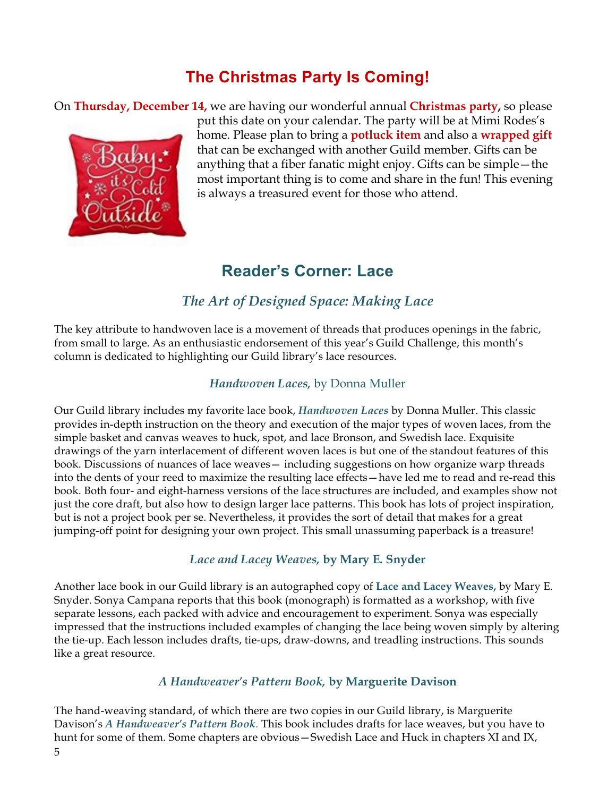## **The Christmas Party Is Coming!**

On **Thursday, December 14,** we are having our wonderful annual **Christmas party,** so please



put this date on your calendar. The party will be at Mimi Rodes's home. Please plan to bring a **potluck item** and also a **wrapped gift** that can be exchanged with another Guild member. Gifts can be anything that a fiber fanatic might enjoy. Gifts can be simple—the most important thing is to come and share in the fun! This evening is always a treasured event for those who attend.

## **Reader's Corner: Lace**

## *The Art of Designed Space: Making Lace*

The key attribute to handwoven lace is a movement of threads that produces openings in the fabric, from small to large. As an enthusiastic endorsement of this year's Guild Challenge, this month's column is dedicated to highlighting our Guild library's lace resources.

### *Handwoven Laces,* by Donna Muller

Our Guild library includes my favorite lace book, *Handwoven Laces* by Donna Muller. This classic provides in-depth instruction on the theory and execution of the major types of woven laces, from the simple basket and canvas weaves to huck, spot, and lace Bronson, and Swedish lace. Exquisite drawings of the yarn interlacement of different woven laces is but one of the standout features of this book. Discussions of nuances of lace weaves— including suggestions on how organize warp threads into the dents of your reed to maximize the resulting lace effects—have led me to read and re-read this book. Both four- and eight-harness versions of the lace structures are included, and examples show not just the core draft, but also how to design larger lace patterns. This book has lots of project inspiration, but is not a project book per se. Nevertheless, it provides the sort of detail that makes for a great jumping-off point for designing your own project. This small unassuming paperback is a treasure!

### *Lace and Lacey Weaves,* **by Mary E. Snyder**

Another lace book in our Guild library is an autographed copy of **Lace and Lacey Weaves,** by Mary E. Snyder. Sonya Campana reports that this book (monograph) is formatted as a workshop, with five separate lessons, each packed with advice and encouragement to experiment. Sonya was especially impressed that the instructions included examples of changing the lace being woven simply by altering the tie-up. Each lesson includes drafts, tie-ups, draw-downs, and treadling instructions. This sounds like a great resource.

### *A Handweaver's Pattern Book,* **by Marguerite Davison**

The hand-weaving standard, of which there are two copies in our Guild library, is Marguerite Davison's *A Handweaver's Pattern Book.* This book includes drafts for lace weaves, but you have to hunt for some of them. Some chapters are obvious—Swedish Lace and Huck in chapters XI and IX,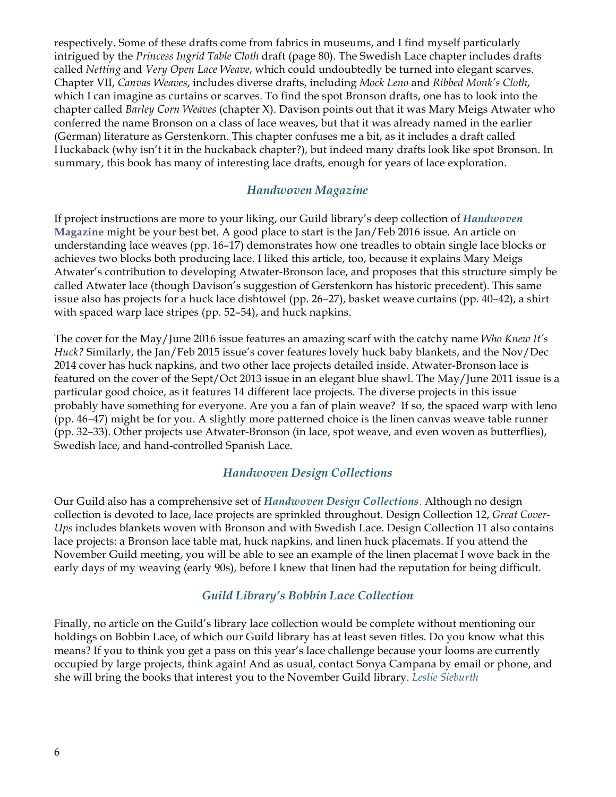respectively. Some of these drafts come from fabrics in museums, and I find myself particularly intrigued by the *Princess Ingrid Table Cloth* draft (page 80). The Swedish Lace chapter includes drafts called *Netting* and *Very Open Lace Weave*, which could undoubtedly be turned into elegant scarves. Chapter VII, *Canvas Weaves*, includes diverse drafts, including *Mock Leno* and *Ribbed Monk's Cloth*, which I can imagine as curtains or scarves. To find the spot Bronson drafts, one has to look into the chapter called *Barley Corn Weaves* (chapter X). Davison points out that it was Mary Meigs Atwater who conferred the name Bronson on a class of lace weaves, but that it was already named in the earlier (German) literature as Gerstenkorn. This chapter confuses me a bit, as it includes a draft called Huckaback (why isn't it in the huckaback chapter?), but indeed many drafts look like spot Bronson. In summary, this book has many of interesting lace drafts, enough for years of lace exploration.

#### *Handwoven Magazine*

If project instructions are more to your liking, our Guild library's deep collection of *Handwoven* **Magazine** might be your best bet. A good place to start is the Jan/Feb 2016 issue. An article on understanding lace weaves (pp. 16–17) demonstrates how one treadles to obtain single lace blocks or achieves two blocks both producing lace. I liked this article, too, because it explains Mary Meigs Atwater's contribution to developing Atwater-Bronson lace, and proposes that this structure simply be called Atwater lace (though Davison's suggestion of Gerstenkorn has historic precedent). This same issue also has projects for a huck lace dishtowel (pp. 26–27), basket weave curtains (pp. 40–42), a shirt with spaced warp lace stripes (pp. 52–54), and huck napkins.

The cover for the May/June 2016 issue features an amazing scarf with the catchy name *Who Knew It's Huck?* Similarly, the Jan/Feb 2015 issue's cover features lovely huck baby blankets, and the Nov/Dec 2014 cover has huck napkins, and two other lace projects detailed inside. Atwater-Bronson lace is featured on the cover of the Sept/Oct 2013 issue in an elegant blue shawl. The May/June 2011 issue is a particular good choice, as it features 14 different lace projects. The diverse projects in this issue probably have something for everyone. Are you a fan of plain weave? If so, the spaced warp with leno (pp. 46–47) might be for you. A slightly more patterned choice is the linen canvas weave table runner (pp. 32–33). Other projects use Atwater-Bronson (in lace, spot weave, and even woven as butterflies), Swedish lace, and hand-controlled Spanish Lace.

### *Handwoven Design Collections*

Our Guild also has a comprehensive set of *Handwoven Design Collections*. Although no design collection is devoted to lace, lace projects are sprinkled throughout. Design Collection 12, *Great Cover-Ups* includes blankets woven with Bronson and with Swedish Lace. Design Collection 11 also contains lace projects: a Bronson lace table mat, huck napkins, and linen huck placemats. If you attend the November Guild meeting, you will be able to see an example of the linen placemat I wove back in the early days of my weaving (early 90s), before I knew that linen had the reputation for being difficult.

### *Guild Library's Bobbin Lace Collection*

Finally, no article on the Guild's library lace collection would be complete without mentioning our holdings on Bobbin Lace, of which our Guild library has at least seven titles. Do you know what this means? If you to think you get a pass on this year's lace challenge because your looms are currently occupied by large projects, think again! And as usual, contact Sonya Campana by email or phone, and she will bring the books that interest you to the November Guild library. *Leslie Sieburth*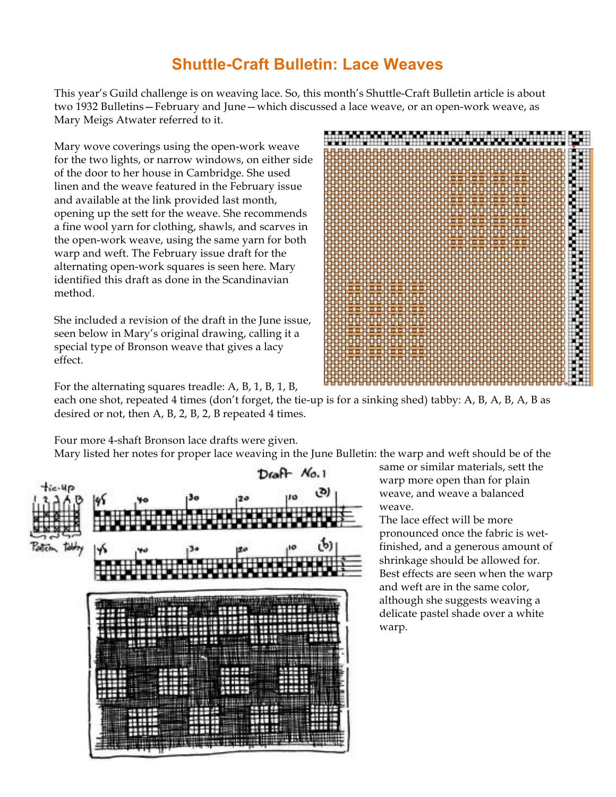## **Shuttle-Craft Bulletin: Lace Weaves**

This year's Guild challenge is on weaving lace. So, this month's Shuttle-Craft Bulletin article is about two 1932 Bulletins—February and June—which discussed a lace weave, or an open-work weave, as Mary Meigs Atwater referred to it.

Mary wove coverings using the open-work weave for the two lights, or narrow windows, on either side of the door to her house in Cambridge. She used linen and the weave featured in the February issue and available at the link provided last month, opening up the sett for the weave. She recommends a fine wool yarn for clothing, shawls, and scarves in the open-work weave, using the same yarn for both warp and weft. The February issue draft for the alternating open-work squares is seen here. Mary identified this draft as done in the Scandinavian method.

She included a revision of the draft in the June issue, seen below in Mary's original drawing, calling it a special type of Bronson weave that gives a lacy effect.



For the alternating squares treadle: A, B, 1, B, 1, B, each one shot, repeated 4 times (don't forget, the tie-up is for a sinking shed) tabby: A, B, A, B, A, B as desired or not, then A, B, 2, B, 2, B repeated 4 times.

Four more 4-shaft Bronson lace drafts were given.

Mary listed her notes for proper lace weaving in the June Bulletin: the warp and weft should be of the



same or similar materials, sett the warp more open than for plain weave, and weave a balanced weave.

The lace effect will be more pronounced once the fabric is wetfinished, and a generous amount of shrinkage should be allowed for. Best effects are seen when the warp and weft are in the same color, although she suggests weaving a delicate pastel shade over a white warp.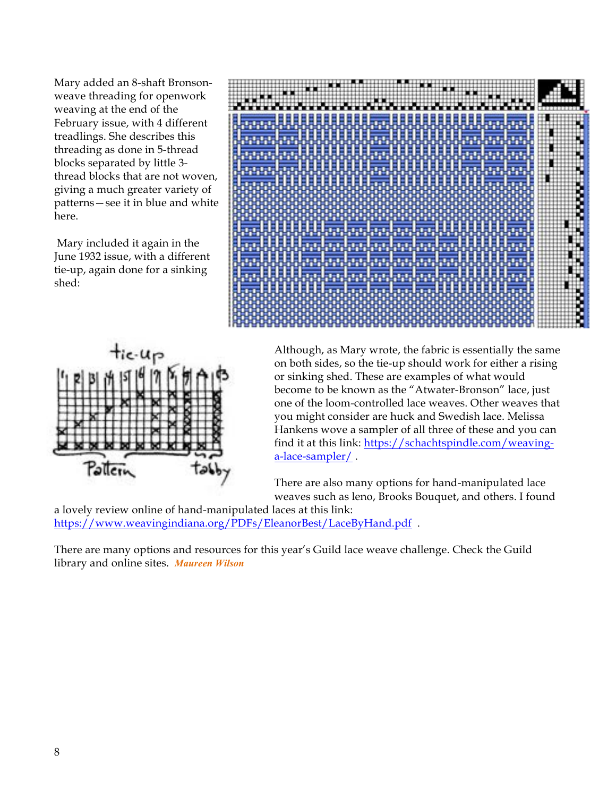Mary added an 8-shaft Bronsonweave threading for openwork weaving at the end of the February issue, with 4 different treadlings. She describes this threading as done in 5-thread blocks separated by little 3 thread blocks that are not woven, giving a much greater variety of patterns—see it in blue and white here.

Mary included it again in the June 1932 issue, with a different tie-up, again done for a sinking shed:





Although, as Mary wrote, the fabric is essentially the same on both sides, so the tie-up should work for either a rising or sinking shed. These are examples of what would become to be known as the "Atwater-Bronson" lace, just one of the loom-controlled lace weaves. Other weaves that you might consider are huck and Swedish lace. Melissa Hankens wove a sampler of all three of these and you can find it at this link: https://schachtspindle.com/weavinga-lace-sampler/.

There are also many options for hand-manipulated lace weaves such as leno, Brooks Bouquet, and others. I found

a lovely review online of hand-manipulated laces at this link: https://www.weavingindiana.org/PDFs/EleanorBest/LaceByHand.pdf .

There are many options and resources for this year's Guild lace weave challenge. Check the Guild library and online sites. *Maureen Wilson*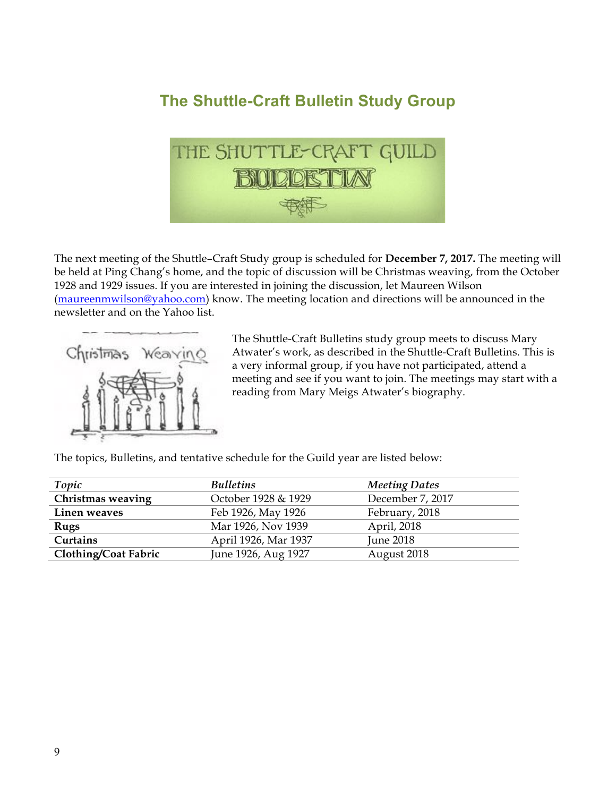## **The Shuttle-Craft Bulletin Study Group**



The next meeting of the Shuttle–Craft Study group is scheduled for **December 7, 2017.** The meeting will be held at Ping Chang's home, and the topic of discussion will be Christmas weaving, from the October 1928 and 1929 issues. If you are interested in joining the discussion, let Maureen Wilson (maureenmwilson@yahoo.com) know. The meeting location and directions will be announced in the newsletter and on the Yahoo list.



The Shuttle-Craft Bulletins study group meets to discuss Mary Atwater's work, as described in the Shuttle-Craft Bulletins. This is a very informal group, if you have not participated, attend a meeting and see if you want to join. The meetings may start with a reading from Mary Meigs Atwater's biography.

The topics, Bulletins, and tentative schedule for the Guild year are listed below:

| Topic                       | <b>Bulletins</b>     | <b>Meeting Dates</b> |
|-----------------------------|----------------------|----------------------|
| Christmas weaving           | October 1928 & 1929  | December 7, 2017     |
| Linen weaves                | Feb 1926, May 1926   | February, 2018       |
| Rugs                        | Mar 1926, Nov 1939   | April, 2018          |
| Curtains                    | April 1926, Mar 1937 | <b>June 2018</b>     |
| <b>Clothing/Coat Fabric</b> | June 1926, Aug 1927  | August 2018          |